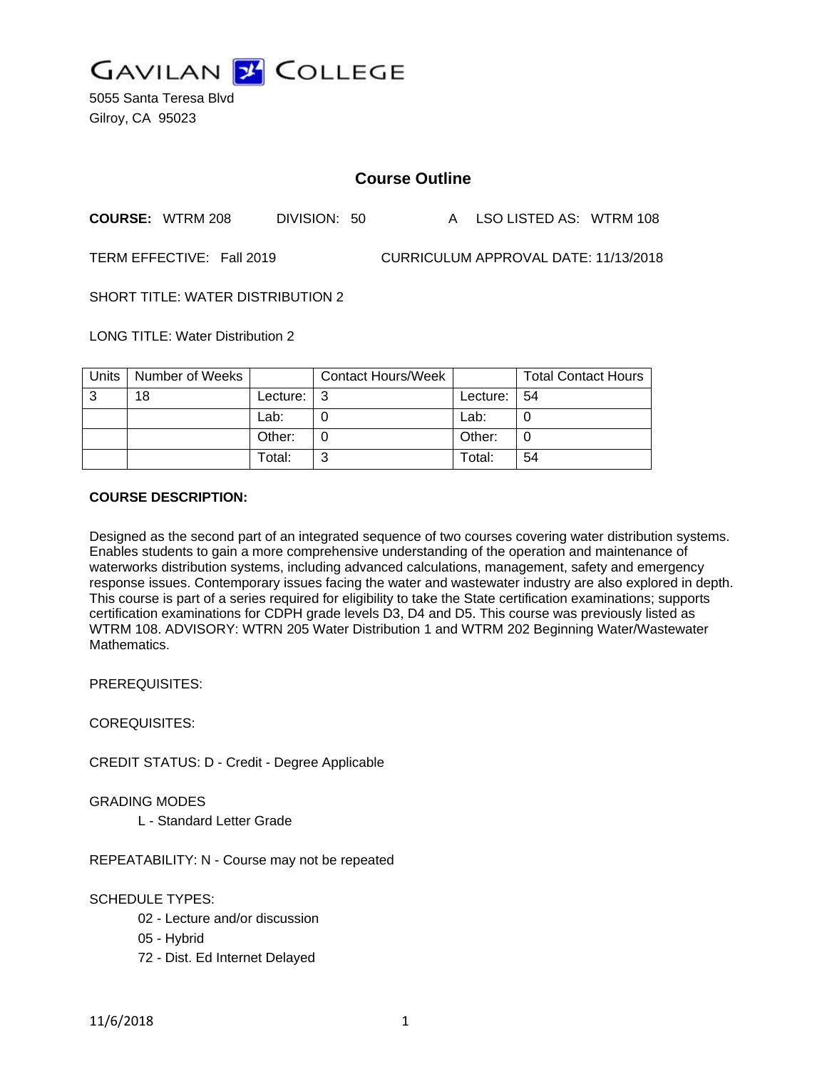

5055 Santa Teresa Blvd Gilroy, CA 95023

# **Course Outline**

**COURSE:** WTRM 208 DIVISION: 50 A LSO LISTED AS: WTRM 108

TERM EFFECTIVE: Fall 2019 CURRICULUM APPROVAL DATE: 11/13/2018

SHORT TITLE: WATER DISTRIBUTION 2

LONG TITLE: Water Distribution 2

| <b>Units</b> | Number of Weeks |          | <b>Contact Hours/Week</b> |          | <b>Total Contact Hours</b> |
|--------------|-----------------|----------|---------------------------|----------|----------------------------|
| 3            | 18              | Lecture: | l 3                       | Lecture: | -54                        |
|              |                 | Lab:     |                           | Lab:     |                            |
|              |                 | Other:   |                           | Other:   |                            |
|              |                 | Total:   | ົ                         | Total:   | 54                         |

#### **COURSE DESCRIPTION:**

Designed as the second part of an integrated sequence of two courses covering water distribution systems. Enables students to gain a more comprehensive understanding of the operation and maintenance of waterworks distribution systems, including advanced calculations, management, safety and emergency response issues. Contemporary issues facing the water and wastewater industry are also explored in depth. This course is part of a series required for eligibility to take the State certification examinations; supports certification examinations for CDPH grade levels D3, D4 and D5. This course was previously listed as WTRM 108. ADVISORY: WTRN 205 Water Distribution 1 and WTRM 202 Beginning Water/Wastewater Mathematics.

PREREQUISITES:

COREQUISITES:

CREDIT STATUS: D - Credit - Degree Applicable

GRADING MODES

L - Standard Letter Grade

REPEATABILITY: N - Course may not be repeated

SCHEDULE TYPES:

- 02 Lecture and/or discussion
- 05 Hybrid
- 72 Dist. Ed Internet Delayed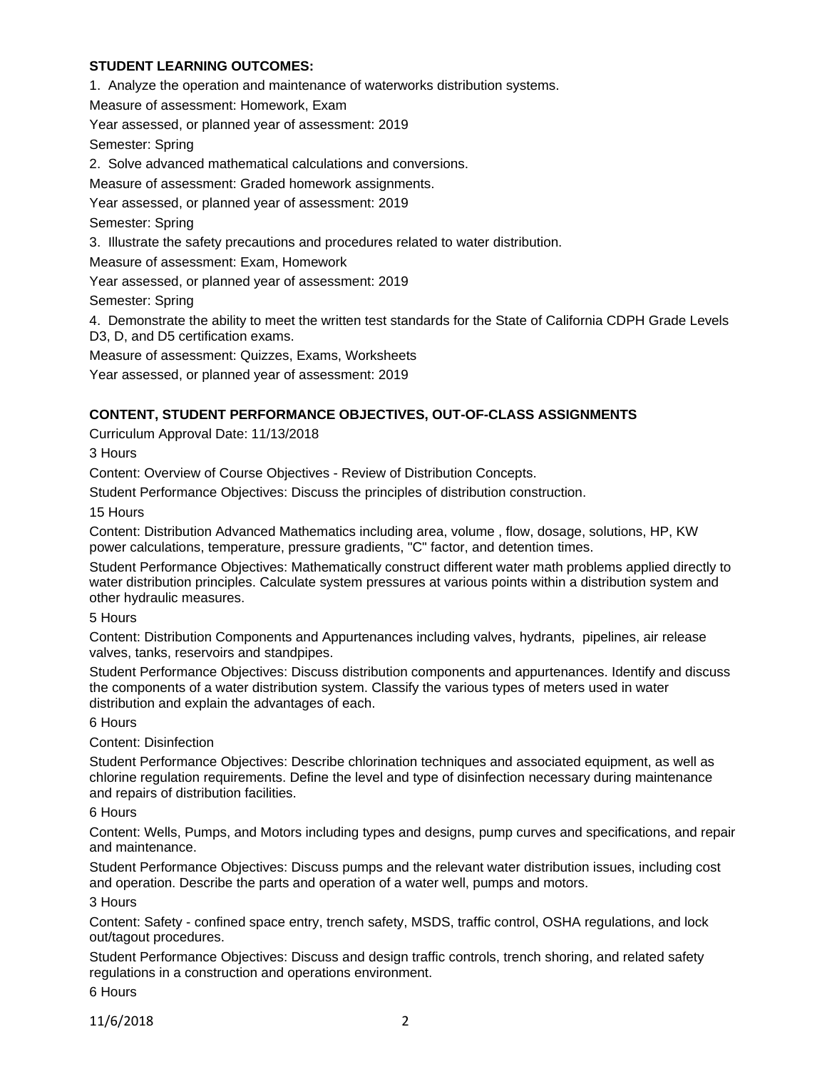## **STUDENT LEARNING OUTCOMES:**

1. Analyze the operation and maintenance of waterworks distribution systems.

Measure of assessment: Homework, Exam

Year assessed, or planned year of assessment: 2019

Semester: Spring

2. Solve advanced mathematical calculations and conversions.

Measure of assessment: Graded homework assignments.

Year assessed, or planned year of assessment: 2019

Semester: Spring

3. Illustrate the safety precautions and procedures related to water distribution.

Measure of assessment: Exam, Homework

Year assessed, or planned year of assessment: 2019

Semester: Spring

4. Demonstrate the ability to meet the written test standards for the State of California CDPH Grade Levels D3, D, and D5 certification exams.

Measure of assessment: Quizzes, Exams, Worksheets

Year assessed, or planned year of assessment: 2019

## **CONTENT, STUDENT PERFORMANCE OBJECTIVES, OUT-OF-CLASS ASSIGNMENTS**

Curriculum Approval Date: 11/13/2018

3 Hours

Content: Overview of Course Objectives - Review of Distribution Concepts.

Student Performance Objectives: Discuss the principles of distribution construction.

15 Hours

Content: Distribution Advanced Mathematics including area, volume , flow, dosage, solutions, HP, KW power calculations, temperature, pressure gradients, "C" factor, and detention times.

Student Performance Objectives: Mathematically construct different water math problems applied directly to water distribution principles. Calculate system pressures at various points within a distribution system and other hydraulic measures.

5 Hours

Content: Distribution Components and Appurtenances including valves, hydrants, pipelines, air release valves, tanks, reservoirs and standpipes.

Student Performance Objectives: Discuss distribution components and appurtenances. Identify and discuss the components of a water distribution system. Classify the various types of meters used in water distribution and explain the advantages of each.

6 Hours

Content: Disinfection

Student Performance Objectives: Describe chlorination techniques and associated equipment, as well as chlorine regulation requirements. Define the level and type of disinfection necessary during maintenance and repairs of distribution facilities.

6 Hours

Content: Wells, Pumps, and Motors including types and designs, pump curves and specifications, and repair and maintenance.

Student Performance Objectives: Discuss pumps and the relevant water distribution issues, including cost and operation. Describe the parts and operation of a water well, pumps and motors.

3 Hours

Content: Safety - confined space entry, trench safety, MSDS, traffic control, OSHA regulations, and lock out/tagout procedures.

Student Performance Objectives: Discuss and design traffic controls, trench shoring, and related safety regulations in a construction and operations environment.

6 Hours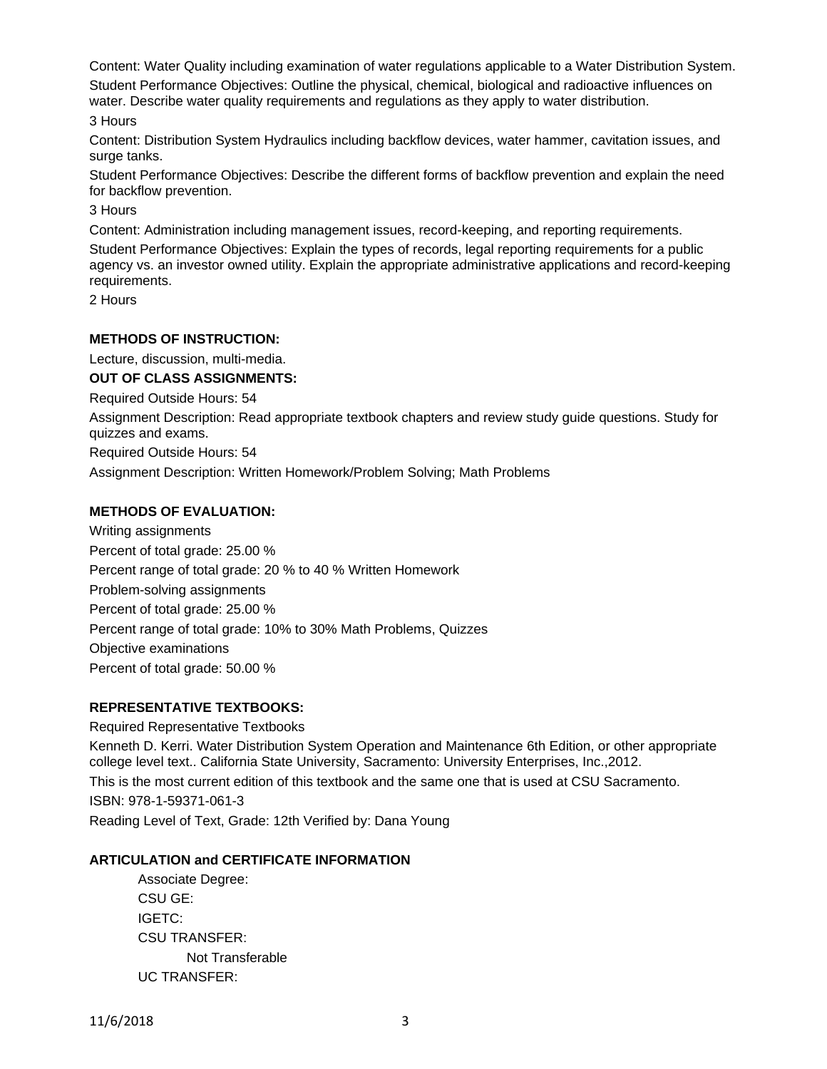Content: Water Quality including examination of water regulations applicable to a Water Distribution System. Student Performance Objectives: Outline the physical, chemical, biological and radioactive influences on water. Describe water quality requirements and regulations as they apply to water distribution.

3 Hours

Content: Distribution System Hydraulics including backflow devices, water hammer, cavitation issues, and surge tanks.

Student Performance Objectives: Describe the different forms of backflow prevention and explain the need for backflow prevention.

3 Hours

Content: Administration including management issues, record-keeping, and reporting requirements. Student Performance Objectives: Explain the types of records, legal reporting requirements for a public agency vs. an investor owned utility. Explain the appropriate administrative applications and record-keeping requirements.

2 Hours

#### **METHODS OF INSTRUCTION:**

Lecture, discussion, multi-media.

## **OUT OF CLASS ASSIGNMENTS:**

Required Outside Hours: 54

Assignment Description: Read appropriate textbook chapters and review study guide questions. Study for quizzes and exams.

Required Outside Hours: 54

Assignment Description: Written Homework/Problem Solving; Math Problems

## **METHODS OF EVALUATION:**

Writing assignments Percent of total grade: 25.00 % Percent range of total grade: 20 % to 40 % Written Homework Problem-solving assignments Percent of total grade: 25.00 % Percent range of total grade: 10% to 30% Math Problems, Quizzes Objective examinations Percent of total grade: 50.00 %

## **REPRESENTATIVE TEXTBOOKS:**

Required Representative Textbooks Kenneth D. Kerri. Water Distribution System Operation and Maintenance 6th Edition, or other appropriate college level text.. California State University, Sacramento: University Enterprises, Inc.,2012. This is the most current edition of this textbook and the same one that is used at CSU Sacramento. ISBN: 978-1-59371-061-3 Reading Level of Text, Grade: 12th Verified by: Dana Young

#### **ARTICULATION and CERTIFICATE INFORMATION**

Associate Degree: CSU GE: IGETC: CSU TRANSFER: Not Transferable UC TRANSFER: